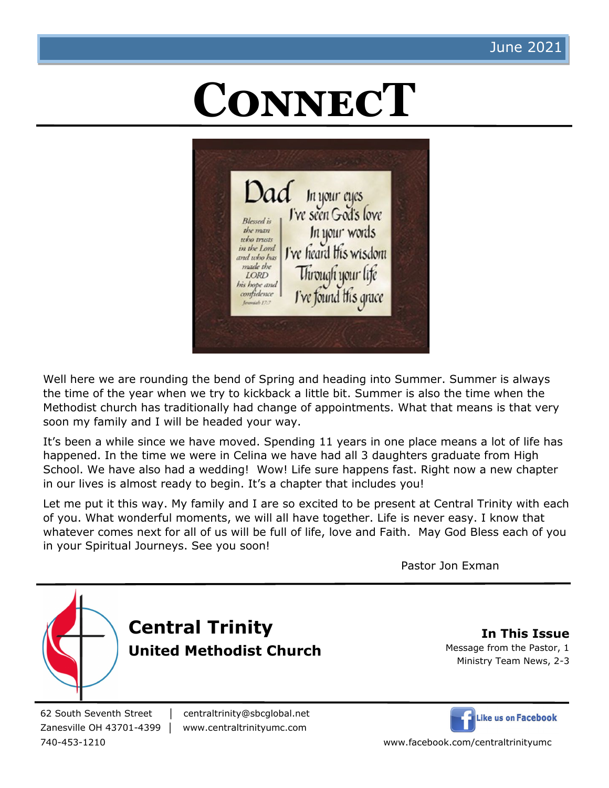# **ConnecT**



Well here we are rounding the bend of Spring and heading into Summer. Summer is always the time of the year when we try to kickback a little bit. Summer is also the time when the Methodist church has traditionally had change of appointments. What that means is that very soon my family and I will be headed your way.

It's been a while since we have moved. Spending 11 years in one place means a lot of life has happened. In the time we were in Celina we have had all 3 daughters graduate from High School. We have also had a wedding! Wow! Life sure happens fast. Right now a new chapter in our lives is almost ready to begin. It's a chapter that includes you!

Let me put it this way. My family and I are so excited to be present at Central Trinity with each of you. What wonderful moments, we will all have together. Life is never easy. I know that whatever comes next for all of us will be full of life, love and Faith. May God Bless each of you in your Spiritual Journeys. See you soon!

Pastor Jon Exman



62 South Seventh Street │ centraltrinity@sbcglobal.net

Zanesville OH 43701-4399 │ www.centraltrinityumc.com



740-453-1210 www.facebook.com/centraltrinityumc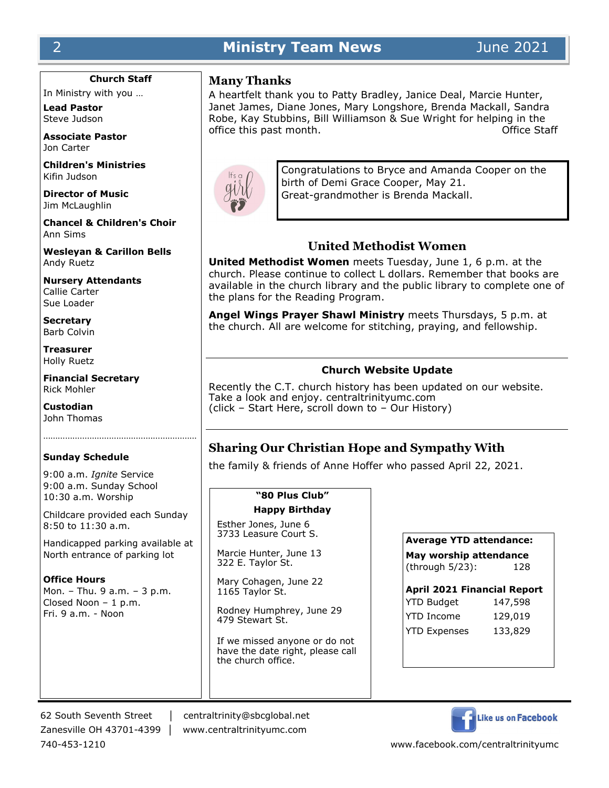## 2 **Ministry Team News** June 2021

**Church Staff**

In Ministry with you …

**Lead Pastor** Steve Judson

**Associate Pastor** Jon Carter

**Children's Ministries** Kifin Judson

**Director of Music** Jim McLaughlin

**Chancel & Children's Choir** Ann Sims

**Wesleyan & Carillon Bells** Andy Ruetz

**Nursery Attendants** Callie Carter Sue Loader

**Secretary** Barb Colvin

**Treasurer** Holly Ruetz

**Financial Secretary** Rick Mohler

**Custodian** John Thomas

#### **Sunday Schedule**

9:00 a.m. *Ignite* Service 9:00 a.m. Sunday School 10:30 a.m. Worship

Childcare provided each Sunday 8:50 to 11:30 a.m.

Handicapped parking available at North entrance of parking lot

**Office Hours** Mon. – Thu. 9 a.m. – 3 p.m. Closed Noon – 1 p.m. Fri. 9 a.m. - Noon

#### **Many Thanks**

A heartfelt thank you to Patty Bradley, Janice Deal, Marcie Hunter, Janet James, Diane Jones, Mary Longshore, Brenda Mackall, Sandra Robe, Kay Stubbins, Bill Williamson & Sue Wright for helping in the office this past month. The contract of the Staff of Staff of the Staff of the Staff of the Staff of the Staff of the Staff of the Staff of the Staff of the Staff of the Staff of the Staff of the Staff of the Staff of the



Congratulations to Bryce and Amanda Cooper on the birth of Demi Grace Cooper, May 21. Great-grandmother is Brenda Mackall.

### **United Methodist Women**

**United Methodist Women** meets Tuesday, June 1, 6 p.m. at the church. Please continue to collect L dollars. Remember that books are available in the church library and the public library to complete one of the plans for the Reading Program.

**Angel Wings Prayer Shawl Ministry** meets Thursdays, 5 p.m. at the church. All are welcome for stitching, praying, and fellowship.

#### **Church Website Update**

Recently the C.T. church history has been updated on our website. Take a look and enjoy. centraltrinityumc.com (click – Start Here, scroll down to – Our History)

## **Sharing Our Christian Hope and Sympathy With**

the family & friends of Anne Hoffer who passed April 22, 2021.

#### **"80 Plus Club"**

#### **Happy Birthday**

Esther Jones, June 6 3733 Leasure Court S.

Marcie Hunter, June 13 322 E. Taylor St.

Mary Cohagen, June 22 1165 Taylor St.

Rodney Humphrey, June 29 479 Stewart St.

If we missed anyone or do not have the date right, please call the church office.

| Average YTD attendance: |
|-------------------------|
| May worship attendance  |

(through 5/23): 128

| <b>April 2021 Financial Report</b> |         |  |  |
|------------------------------------|---------|--|--|
| <b>YTD Budget</b>                  | 147,598 |  |  |
| <b>YTD Income</b>                  | 129,019 |  |  |
| <b>YTD Expenses</b>                | 133,829 |  |  |

62 South Seventh Street │ centraltrinity@sbcglobal.net Zanesville OH 43701-4399 │ www.centraltrinityumc.com



740-453-1210 www.facebook.com/centraltrinityumc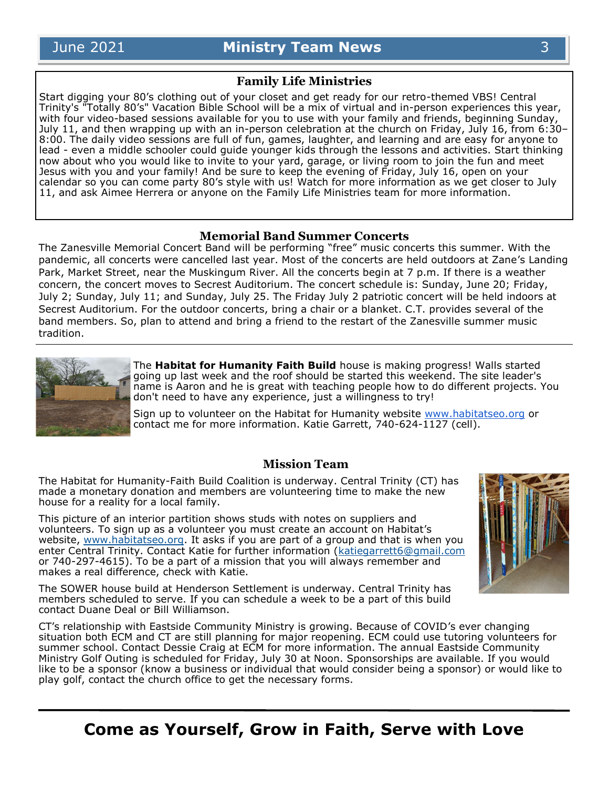#### **Family Life Ministries**

Start digging your 80's clothing out of your closet and get ready for our retro-themed VBS! Central Trinity's "Totally 80's" Vacation Bible School will be a mix of virtual and in-person experiences this year, with four video-based sessions available for you to use with your family and friends, beginning Sunday, July 11, and then wrapping up with an in-person celebration at the church on Friday, July 16, from 6:30– 8:00. The daily video sessions are full of fun, games, laughter, and learning and are easy for anyone to lead - even a middle schooler could guide younger kids through the lessons and activities. Start thinking now about who you would like to invite to your yard, garage, or living room to join the fun and meet Jesus with you and your family! And be sure to keep the evening of Friday, July 16, open on your calendar so you can come party 80's style with us! Watch for more information as we get closer to July 11, and ask Aimee Herrera or anyone on the Family Life Ministries team for more information.

#### **Memorial Band Summer Concerts**

The Zanesville Memorial Concert Band will be performing "free" music concerts this summer. With the pandemic, all concerts were cancelled last year. Most of the concerts are held outdoors at Zane's Landing Park, Market Street, near the Muskingum River. All the concerts begin at 7 p.m. If there is a weather concern, the concert moves to Secrest Auditorium. The concert schedule is: Sunday, June 20; Friday, July 2; Sunday, July 11; and Sunday, July 25. The Friday July 2 patriotic concert will be held indoors at Secrest Auditorium. For the outdoor concerts, bring a chair or a blanket. C.T. provides several of the band members. So, plan to attend and bring a friend to the restart of the Zanesville summer music tradition.



The **Habitat for Humanity Faith Build** house is making progress! Walls started going up last week and the roof should be started this weekend. The site leader's name is Aaron and he is great with teaching people how to do different projects. You don't need to have any experience, just a willingness to try!

Sign up to volunteer on the Habitat for Humanity website [www.habitatseo.org](http://www.habitatseo.org) or contact me for more information. Katie Garrett, 740-624-1127 (cell).

#### **Mission Team**

The Habitat for Humanity-Faith Build Coalition is underway. Central Trinity (CT) has made a monetary donation and members are volunteering time to make the new house for a reality for a local family.

This picture of an interior partition shows studs with notes on suppliers and volunteers. To sign up as a volunteer you must create an account on Habitat's website, [www.habitatseo.org.](http://www.habitatseo.org) It asks if you are part of a group and that is when you enter Central Trinity. Contact Katie for further information [\(katiegarrett6@gmail.com](mailto:katiegarrett6@gmail.com) or 740-297-4615). To be a part of a mission that you will always remember and makes a real difference, check with Katie.

The SOWER house build at Henderson Settlement is underway. Central Trinity has members scheduled to serve. If you can schedule a week to be a part of this build contact Duane Deal or Bill Williamson.

CT's relationship with Eastside Community Ministry is growing. Because of COVID's ever changing situation both ECM and CT are still planning for major reopening. ECM could use tutoring volunteers for summer school. Contact Dessie Craig at ECM for more information. The annual Eastside Community Ministry Golf Outing is scheduled for Friday, July 30 at Noon. Sponsorships are available. If you would like to be a sponsor (know a business or individual that would consider being a sponsor) or would like to play golf, contact the church office to get the necessary forms.

**Come as Yourself, Grow in Faith, Serve with Love**